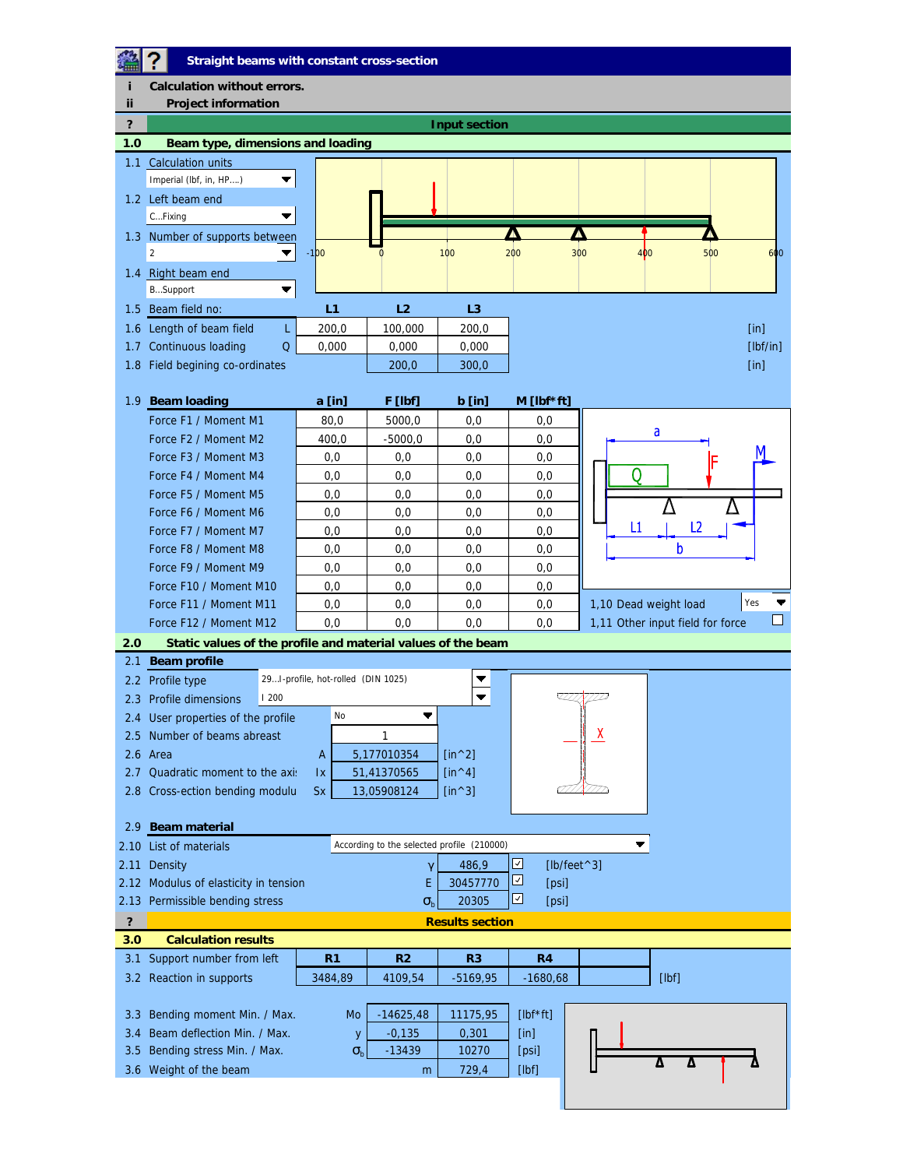## **Straight beams with constant cross-section**

魯  $\overline{\mathbf{?}}$ **i Calculation without errors. ii** Project information **? Input section 1.0 Beam type, dimensions and loading** 1.1 Calculation units Imperial (lbf, in, HP….)  $\blacktriangledown$ 1.2 Left beam end  $\blacktriangledown$ C…Fixing Δ Д 1.3 Number of supports between 2 -100 0 100 200 300 400 500 600 1.4 Right beam end B…Support  $\blacktriangledown$ 

| 1.5 Beam field no:              |       |         |       |
|---------------------------------|-------|---------|-------|
| 1.6 Length of beam field        | 200.0 | 100,000 | 200.0 |
| 1.7 Continuous loading          | 0.000 | 0.000   | 0.000 |
| 1.8 Field begining co-ordinates | 200.0 | 300.0   |       |

| <b>Beam loading</b><br>1.9 <sup>°</sup>      | a [in]                                                       | F [lbf]   | $b$ [in] | $M$ [lbf*ft] |                                  |  |  |  |  |
|----------------------------------------------|--------------------------------------------------------------|-----------|----------|--------------|----------------------------------|--|--|--|--|
| Force F1 / Moment M1                         | 80.0                                                         | 5000.0    | 0.0      | 0,0          |                                  |  |  |  |  |
| Force F <sub>2</sub> / Moment M <sub>2</sub> | 400.0                                                        | $-5000.0$ | 0,0      | 0,0          | a                                |  |  |  |  |
| Force F <sub>3</sub> / Moment M <sub>3</sub> | 0,0                                                          | 0,0       | 0,0      | 0,0          |                                  |  |  |  |  |
| Force F4 / Moment M4                         | 0,0                                                          | 0,0       | 0,0      | 0,0          |                                  |  |  |  |  |
| Force F5 / Moment M5                         | 0,0                                                          | 0,0       | 0,0      | 0,0          |                                  |  |  |  |  |
| Force F6 / Moment M6                         | 0,0                                                          | 0,0       | 0,0      | 0,0          |                                  |  |  |  |  |
| Force F7 / Moment M7                         | 0,0                                                          | 0,0       | 0,0      | 0,0          | L2<br>L1                         |  |  |  |  |
| Force F8 / Moment M8                         | 0,0                                                          | 0,0       | 0,0      | 0,0          |                                  |  |  |  |  |
| Force F9 / Moment M9                         | 0,0                                                          | 0,0       | 0,0      | 0,0          |                                  |  |  |  |  |
| Force F10 / Moment M10                       | 0,0                                                          | 0,0       | 0.0      | 0,0          |                                  |  |  |  |  |
| Force F11 / Moment M11                       | 0,0                                                          | 0,0       | 0,0      | 0,0          | Yes<br>1,10 Dead weight load     |  |  |  |  |
| Force F12 / Moment M12                       | 0,0                                                          | 0,0       | 0,0      | 0,0          | 1,11 Other input field for force |  |  |  |  |
| 2.0                                          | Static values of the profile and material values of the beam |           |          |              |                                  |  |  |  |  |

| 2.1              | Beam profile                                                    |                                    |             |                |                |                |                |                     |       |  |
|------------------|-----------------------------------------------------------------|------------------------------------|-------------|----------------|----------------|----------------|----------------|---------------------|-------|--|
|                  | 2.2 Profile type                                                | 29I-profile, hot-rolled (DIN 1025) |             |                |                |                |                |                     |       |  |
| 2.3              | <b>Profile dimensions</b>                                       | 1200                               |             |                |                |                |                |                     |       |  |
| $2.4^{\circ}$    | User properties of the profile                                  |                                    |             | No             |                |                |                |                     |       |  |
| 2.5              | Number of beams abreast                                         |                                    |             |                |                |                |                | ٨                   |       |  |
|                  | 2.6 Area<br>A                                                   |                                    | 5,177010354 |                | $[in^2]$       |                |                |                     |       |  |
| 2.7              | Quadratic moment to the axis<br>$\mathsf{I}\mathsf{X}$          |                                    | 51,41370565 |                | [ $in^4$ ]     |                |                |                     |       |  |
| 2.8 <sub>1</sub> | Cross-ection bending modulu<br><b>Sx</b>                        |                                    |             |                | 13,05908124    | [ $in^3$ ]     |                |                     |       |  |
|                  |                                                                 |                                    |             |                |                |                |                |                     |       |  |
| 2.9              | <b>Beam material</b>                                            |                                    |             |                |                |                |                |                     |       |  |
| 2.10             | According to the selected profile (210000)<br>List of materials |                                    |             |                |                |                |                |                     |       |  |
| 2.11             | ☑<br>486,9<br>Density<br>$\gamma$                               |                                    |             |                |                |                |                | $[lb/feet \land 3]$ |       |  |
| 2.12             | 30457770<br>Modulus of elasticity in tension<br>Е               |                                    |             |                |                |                | ☑<br>[psi]     |                     |       |  |
|                  | 20305<br>2.13 Permissible bending stress<br>S <sub>h</sub>      |                                    |             |                |                |                | ⊻<br>[psi]     |                     |       |  |
| ?                | <b>Results section</b>                                          |                                    |             |                |                |                |                |                     |       |  |
| 3.0              | <b>Calculation results</b>                                      |                                    |             |                |                |                |                |                     |       |  |
| 3.1              | Support number from left                                        |                                    |             | R <sub>1</sub> | R <sub>2</sub> | R <sub>3</sub> | R <sub>4</sub> |                     |       |  |
| $3.2^{\circ}$    | Reaction in supports                                            |                                    | 3484,89     |                | 4109,54        | $-5169,95$     | $-1680,68$     |                     | [Ibf] |  |
|                  |                                                                 |                                    |             |                |                |                |                |                     |       |  |
| 3.3              | Bending moment Min. / Max.                                      |                                    |             | Mo             | $-14625,48$    | 11175,95       | $[Ibf**ft]$    |                     |       |  |
| 3.4              | Beam deflection Min. / Max.                                     |                                    | y           | $-0,135$       | 0,301          | [in]           |                |                     |       |  |
| 3.5              | Bending stress Min. / Max.                                      |                                    |             | $S_{h}$        | $-13439$       | 10270          | [psi]          |                     |       |  |
|                  | 3.6 Weight of the beam                                          |                                    |             |                | m              | 729,4          | [Ibf]          |                     | Δ     |  |